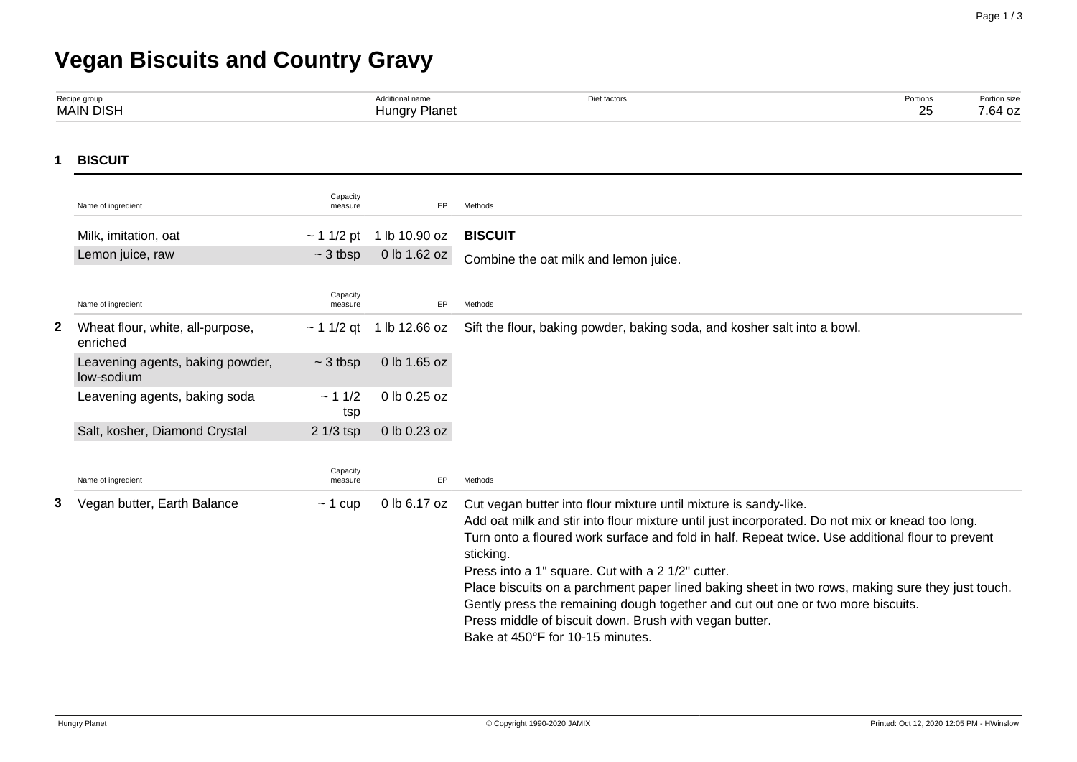# **Vegan Biscuits and Country Gravy**

| Recipe group     | Additional name | Diet factors | Portions | Portion size |
|------------------|-----------------|--------------|----------|--------------|
| <b>MAIN DISH</b> | Hungry Planet   |              | $\sim$   | 7.64 oz      |

**1 BISCUIT**

|   | Name of ingredient                             | Capacity<br>measure | EP            | Methods                                                                                                                                                                                             |
|---|------------------------------------------------|---------------------|---------------|-----------------------------------------------------------------------------------------------------------------------------------------------------------------------------------------------------|
|   | Milk, imitation, oat                           | $\sim$ 1 1/2 pt     | 1 lb 10.90 oz | <b>BISCUIT</b>                                                                                                                                                                                      |
|   | Lemon juice, raw                               | $\sim$ 3 tbsp       | 0 lb 1.62 oz  | Combine the oat milk and lemon juice.                                                                                                                                                               |
|   | Name of ingredient                             | Capacity            | EP            |                                                                                                                                                                                                     |
|   |                                                | measure             |               | Methods                                                                                                                                                                                             |
| 2 | Wheat flour, white, all-purpose,<br>enriched   | $\sim$ 1 1/2 gt     | 1 lb 12.66 oz | Sift the flour, baking powder, baking soda, and kosher salt into a bowl.                                                                                                                            |
|   | Leavening agents, baking powder,<br>low-sodium | $\sim$ 3 tbsp       | 0 lb 1.65 oz  |                                                                                                                                                                                                     |
|   | Leavening agents, baking soda                  | ~11/2<br>tsp        | 0 lb 0.25 oz  |                                                                                                                                                                                                     |
|   | Salt, kosher, Diamond Crystal                  | 2 1/3 tsp           | 0 lb 0.23 oz  |                                                                                                                                                                                                     |
|   |                                                |                     |               |                                                                                                                                                                                                     |
|   | Name of ingredient                             | Capacity<br>measure | EP            | Methods                                                                                                                                                                                             |
| 3 | Vegan butter, Earth Balance                    | $~1$ cup            | 0 lb 6.17 oz  | Cut vegan butter into flour mixture until mixture is sandy-like.                                                                                                                                    |
|   |                                                |                     |               | Add oat milk and stir into flour mixture until just incorporated. Do not mix or knead too long.<br>Turn onto a floured work surface and fold in half. Repeat twice. Use additional flour to prevent |
|   |                                                |                     |               | sticking.                                                                                                                                                                                           |
|   |                                                |                     |               | Press into a 1" square. Cut with a 2 1/2" cutter.                                                                                                                                                   |
|   |                                                |                     |               | Place biscuits on a parchment paper lined baking sheet in two rows, making sure they just touch.                                                                                                    |
|   |                                                |                     |               | Gently press the remaining dough together and cut out one or two more biscuits.                                                                                                                     |
|   |                                                |                     |               | Press middle of biscuit down. Brush with vegan butter.                                                                                                                                              |
|   |                                                |                     |               | Bake at 450°F for 10-15 minutes.                                                                                                                                                                    |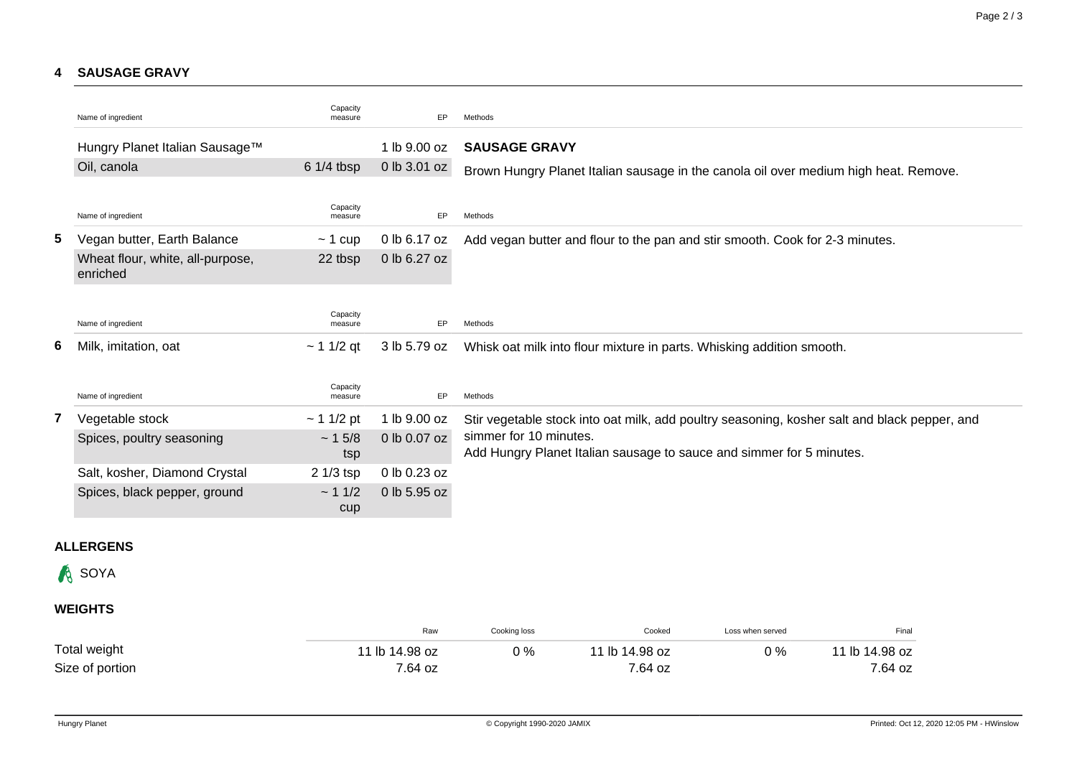### **4 SAUSAGE GRAVY**

|   | Name of ingredient                           | Capacity<br>measure | EP           | Methods                                                                                        |
|---|----------------------------------------------|---------------------|--------------|------------------------------------------------------------------------------------------------|
|   | Hungry Planet Italian Sausage™               |                     | 1 lb 9.00 oz | <b>SAUSAGE GRAVY</b>                                                                           |
|   | Oil, canola                                  | $61/4$ tbsp         | 0 lb 3.01 oz | Brown Hungry Planet Italian sausage in the canola oil over medium high heat. Remove.           |
|   | Name of ingredient                           | Capacity<br>measure | EP           | Methods                                                                                        |
| 5 | Vegan butter, Earth Balance                  | $\sim$ 1 cup        | 0 lb 6.17 oz | Add vegan butter and flour to the pan and stir smooth. Cook for 2-3 minutes.                   |
|   | Wheat flour, white, all-purpose,<br>enriched | 22 tbsp             | 0 lb 6.27 oz |                                                                                                |
|   | Name of ingredient                           | Capacity<br>measure | EP           | Methods                                                                                        |
| 6 | Milk, imitation, oat                         | $\sim$ 1 1/2 qt     | 3 lb 5.79 oz | Whisk oat milk into flour mixture in parts. Whisking addition smooth.                          |
|   | Name of ingredient                           | Capacity<br>measure | EP           | Methods                                                                                        |
| 7 | Vegetable stock                              | ~11/2~pt            | 1 lb 9.00 oz | Stir vegetable stock into oat milk, add poultry seasoning, kosher salt and black pepper, and   |
|   | Spices, poultry seasoning                    | ~15/8<br>tsp        | 0 lb 0.07 oz | simmer for 10 minutes.<br>Add Hungry Planet Italian sausage to sauce and simmer for 5 minutes. |
|   | Salt, kosher, Diamond Crystal                | $2 \frac{1}{3}$ tsp | 0 lb 0.23 oz |                                                                                                |
|   | Spices, black pepper, ground                 | ~11/2<br>cup        | 0 lb 5.95 oz |                                                                                                |

## **ALLERGENS**

**A** SOYA

## **WEIGHTS**

|                 | Raw            | Cooking loss | Cooked         | Loss when served | Final          |
|-----------------|----------------|--------------|----------------|------------------|----------------|
| Total weight    | 11 lb 14.98 oz | 0 %          | 11 lb 14.98 oz | $0\%$            | 11 lb 14.98 oz |
| Size of portion | 7.64 oz        |              | 7.64 oz        |                  | 7.64 oz        |